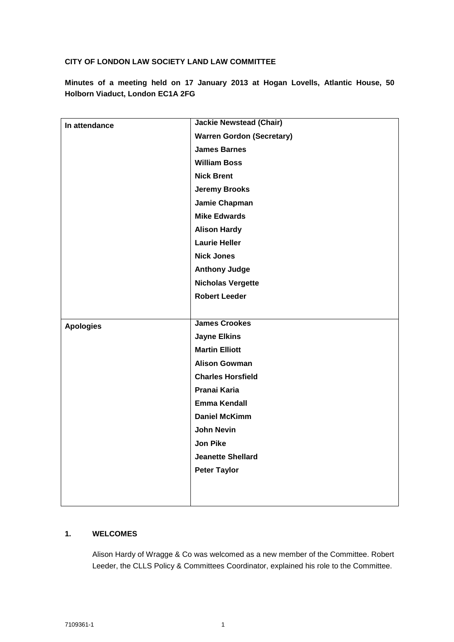# **CITY OF LONDON LAW SOCIETY LAND LAW COMMITTEE**

**Minutes of a meeting held on 17 January 2013 at Hogan Lovells, Atlantic House, 50 Holborn Viaduct, London EC1A 2FG**

| In attendance    | <b>Jackie Newstead (Chair)</b>   |
|------------------|----------------------------------|
|                  | <b>Warren Gordon (Secretary)</b> |
|                  | <b>James Barnes</b>              |
|                  | <b>William Boss</b>              |
|                  | <b>Nick Brent</b>                |
|                  | <b>Jeremy Brooks</b>             |
|                  | Jamie Chapman                    |
|                  | <b>Mike Edwards</b>              |
|                  | <b>Alison Hardy</b>              |
|                  | <b>Laurie Heller</b>             |
|                  | <b>Nick Jones</b>                |
|                  | <b>Anthony Judge</b>             |
|                  | <b>Nicholas Vergette</b>         |
|                  | <b>Robert Leeder</b>             |
|                  |                                  |
| <b>Apologies</b> | <b>James Crookes</b>             |
|                  | <b>Jayne Elkins</b>              |
|                  | <b>Martin Elliott</b>            |
|                  | <b>Alison Gowman</b>             |
|                  | <b>Charles Horsfield</b>         |
|                  | Pranai Karia                     |
|                  | <b>Emma Kendall</b>              |
|                  | <b>Daniel McKimm</b>             |
|                  | <b>John Nevin</b>                |
|                  | <b>Jon Pike</b>                  |
|                  | <b>Jeanette Shellard</b>         |
|                  | <b>Peter Taylor</b>              |
|                  |                                  |
|                  |                                  |

# **1. WELCOMES**

Alison Hardy of Wragge & Co was welcomed as a new member of the Committee. Robert Leeder, the CLLS Policy & Committees Coordinator, explained his role to the Committee.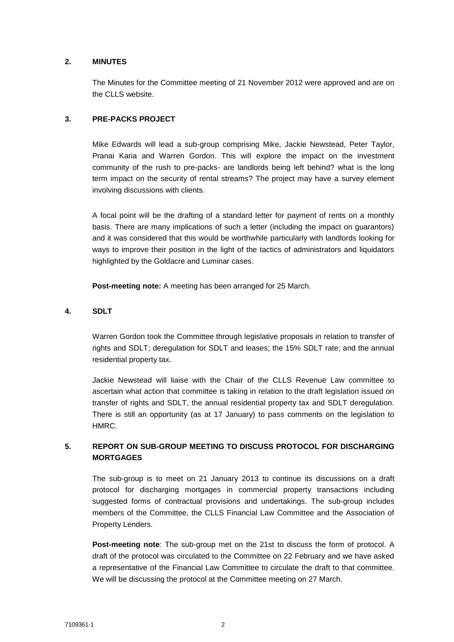### **2. MINUTES**

The Minutes for the Committee meeting of 21 November 2012 were approved and are on the CLLS website.

## **3. PRE-PACKS PROJECT**

Mike Edwards will lead a sub-group comprising Mike, Jackie Newstead, Peter Taylor, Pranai Karia and Warren Gordon. This will explore the impact on the investment community of the rush to pre-packs- are landlords being left behind? what is the long term impact on the security of rental streams? The project may have a survey element involving discussions with clients.

A focal point will be the drafting of a standard letter for payment of rents on a monthly basis. There are many implications of such a letter (including the impact on guarantors) and it was considered that this would be worthwhile particularly with landlords looking for ways to improve their position in the light of the tactics of administrators and liquidators highlighted by the Goldacre and Luminar cases.

**Post-meeting note:** A meeting has been arranged for 25 March.

## **4. SDLT**

Warren Gordon took the Committee through legislative proposals in relation to transfer of rights and SDLT; deregulation for SDLT and leases; the 15% SDLT rate; and the annual residential property tax.

Jackie Newstead will liaise with the Chair of the CLLS Revenue Law committee to ascertain what action that committee is taking in relation to the draft legislation issued on transfer of rights and SDLT, the annual residential property tax and SDLT deregulation. There is still an opportunity (as at 17 January) to pass comments on the legislation to HMRC.

# **5. REPORT ON SUB-GROUP MEETING TO DISCUSS PROTOCOL FOR DISCHARGING MORTGAGES**

The sub-group is to meet on 21 January 2013 to continue its discussions on a draft protocol for discharging mortgages in commercial property transactions including suggested forms of contractual provisions and undertakings. The sub-group includes members of the Committee, the CLLS Financial Law Committee and the Association of Property Lenders.

**Post-meeting note**: The sub-group met on the 21st to discuss the form of protocol. A draft of the protocol was circulated to the Committee on 22 February and we have asked a representative of the Financial Law Committee to circulate the draft to that committee. We will be discussing the protocol at the Committee meeting on 27 March.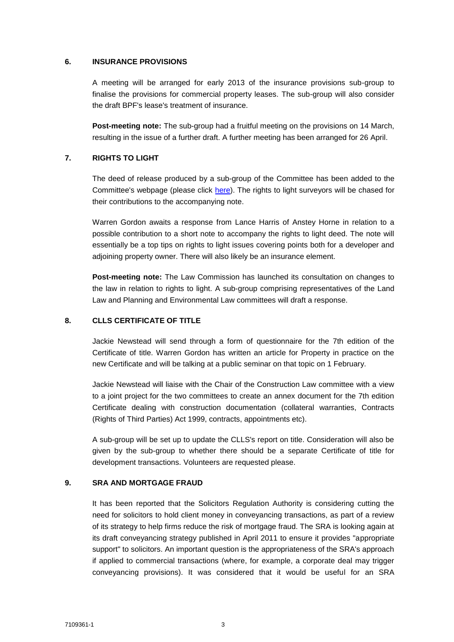#### **6. INSURANCE PROVISIONS**

A meeting will be arranged for early 2013 of the insurance provisions sub-group to finalise the provisions for commercial property leases. The sub-group will also consider the draft BPF's lease's treatment of insurance.

**Post-meeting note:** The sub-group had a fruitful meeting on the provisions on 14 March, resulting in the issue of a further draft. A further meeting has been arranged for 26 April.

#### **7. RIGHTS TO LIGHT**

The deed of release produced by a sub-group of the Committee has been added to the Committee's webpage (please click [here\)](http://www.citysolicitors.org.uk/FileServer.aspx?oID=1313&lID=0). The rights to light surveyors will be chased for their contributions to the accompanying note.

Warren Gordon awaits a response from Lance Harris of Anstey Horne in relation to a possible contribution to a short note to accompany the rights to light deed. The note will essentially be a top tips on rights to light issues covering points both for a developer and adjoining property owner. There will also likely be an insurance element.

**Post-meeting note:** The Law Commission has launched its consultation on changes to the law in relation to rights to light. A sub-group comprising representatives of the Land Law and Planning and Environmental Law committees will draft a response.

#### **8. CLLS CERTIFICATE OF TITLE**

Jackie Newstead will send through a form of questionnaire for the 7th edition of the Certificate of title. Warren Gordon has written an article for Property in practice on the new Certificate and will be talking at a public seminar on that topic on 1 February.

Jackie Newstead will liaise with the Chair of the Construction Law committee with a view to a joint project for the two committees to create an annex document for the 7th edition Certificate dealing with construction documentation (collateral warranties, Contracts (Rights of Third Parties) Act 1999, contracts, appointments etc).

A sub-group will be set up to update the CLLS's report on title. Consideration will also be given by the sub-group to whether there should be a separate Certificate of title for development transactions. Volunteers are requested please.

### **9. SRA AND MORTGAGE FRAUD**

It has been reported that the Solicitors Regulation Authority is considering cutting the need for solicitors to hold client money in conveyancing transactions, as part of a review of its strategy to help firms reduce the risk of mortgage fraud. The SRA is looking again at its draft conveyancing strategy published in April 2011 to ensure it provides "appropriate support" to solicitors. An important question is the appropriateness of the SRA's approach if applied to commercial transactions (where, for example, a corporate deal may trigger conveyancing provisions). It was considered that it would be useful for an SRA